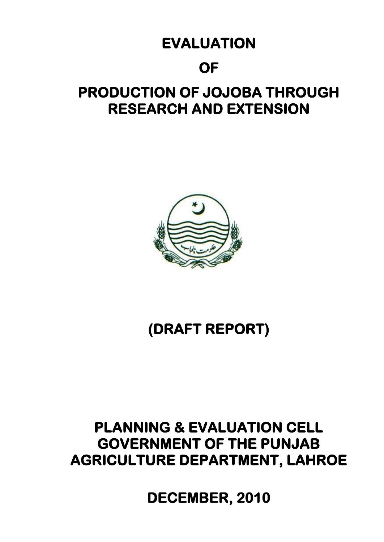# **EVALUATION**

## **OF**

# **PRODUCTION OF JOJOBA THROUGH RESEARCH AND EXTENSION**



# **(DRAFT REPORT)**

## **PLANNING & EVALUATION CELL GOVERNMENT OF THE PUNJAB AGRICULTURE DEPARTMENT, LAHROE**

**DECEMBER, 2010**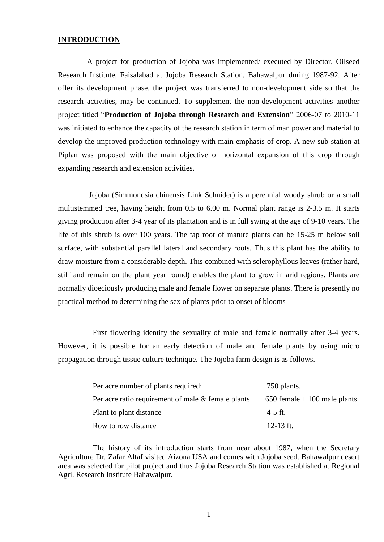#### **INTRODUCTION**

A project for production of Jojoba was implemented/ executed by Director, Oilseed Research Institute, Faisalabad at Jojoba Research Station, Bahawalpur during 1987-92. After offer its development phase, the project was transferred to non-development side so that the research activities, may be continued. To supplement the non-development activities another project titled "**Production of Jojoba through Research and Extension**" 2006-07 to 2010-11 was initiated to enhance the capacity of the research station in term of man power and material to develop the improved production technology with main emphasis of crop. A new sub-station at Piplan was proposed with the main objective of horizontal expansion of this crop through expanding research and extension activities.

Jojoba (Simmondsia chinensis Link Schnider) is a perennial woody shrub or a small multistemmed tree, having height from 0.5 to 6.00 m. Normal plant range is 2-3.5 m. It starts giving production after 3-4 year of its plantation and is in full swing at the age of 9-10 years. The life of this shrub is over 100 years. The tap root of mature plants can be 15-25 m below soil surface, with substantial parallel lateral and secondary roots. Thus this plant has the ability to draw moisture from a considerable depth. This combined with sclerophyllous leaves (rather hard, stiff and remain on the plant year round) enables the plant to grow in arid regions. Plants are normally dioeciously producing male and female flower on separate plants. There is presently no practical method to determining the sex of plants prior to onset of blooms

First flowering identify the sexuality of male and female normally after 3-4 years. However, it is possible for an early detection of male and female plants by using micro propagation through tissue culture technique. The Jojoba farm design is as follows.

| Per acre number of plants required:                   | 750 plants.                    |
|-------------------------------------------------------|--------------------------------|
| Per acre ratio requirement of male $\&$ female plants | $650$ female + 100 male plants |
| Plant to plant distance                               | $4-5$ ft.                      |
| Row to row distance                                   | 12-13 ft.                      |

The history of its introduction starts from near about 1987, when the Secretary Agriculture Dr. Zafar Altaf visited Aizona USA and comes with Jojoba seed. Bahawalpur desert area was selected for pilot project and thus Jojoba Research Station was established at Regional Agri. Research Institute Bahawalpur.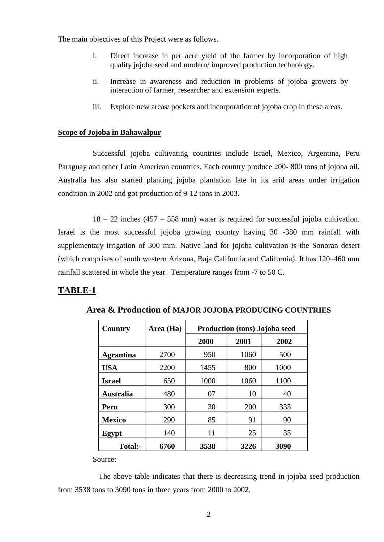The main objectives of this Project were as follows.

- i. Direct increase in per acre yield of the farmer by incorporation of high quality jojoba seed and modern/ improved production technology.
- ii. Increase in awareness and reduction in problems of jojoba growers by interaction of farmer, researcher and extension experts.
- iii. Explore new areas/ pockets and incorporation of jojoba crop in these areas.

#### **Scope of Jojoba in Bahawalpur**

Successful jojoba cultivating countries include Israel, Mexico, Argentina, Peru Paraguay and other Latin American countries. Each country produce 200- 800 tons of jojoba oil. Australia has also started planting jojoba plantation late in its arid areas under irrigation condition in 2002 and got production of 9-12 tons in 2003.

18 – 22 inches (457 – 558 mm) water is required for successful jojoba cultivation. Israel is the most successful jojoba growing country having 30 -380 mm rainfall with supplementary irrigation of 300 mm. Native land for jojoba cultivation is the Sonoran desert (which comprises of south western Arizona, Baja California and California). It has 120–460 mm rainfall scattered in whole the year. Temperature ranges from -7 to 50 C.

## **TABLE-1**

| <b>Country</b>   | Area (Ha) | <b>Production (tons) Jojoba seed</b> |      |      |
|------------------|-----------|--------------------------------------|------|------|
|                  |           | 2000                                 | 2001 | 2002 |
| <b>Agrantina</b> | 2700      | 950                                  | 1060 | 500  |
| <b>USA</b>       | 2200      | 1455                                 | 800  | 1000 |
| <b>Israel</b>    | 650       | 1000                                 | 1060 | 1100 |
| <b>Australia</b> | 480       | 07                                   | 10   | 40   |
| Peru             | 300       | 30                                   | 200  | 335  |
| <b>Mexico</b>    | 290       | 85                                   | 91   | 90   |
| Egypt            | 140       | 11                                   | 25   | 35   |
| Total:-          | 6760      | 3538                                 | 3226 | 3090 |

**Area & Production of MAJOR JOJOBA PRODUCING COUNTRIES** 

Source:

The above table indicates that there is decreasing trend in jojoba seed production from 3538 tons to 3090 tons in three years from 2000 to 2002.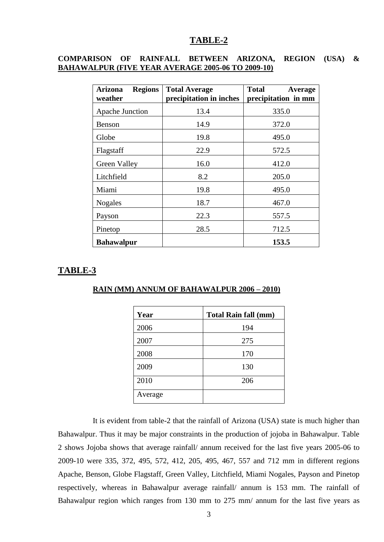#### **COMPARISON OF RAINFALL BETWEEN ARIZONA, REGION (USA) & BAHAWALPUR (FIVE YEAR AVERAGE 2005-06 TO 2009-10)**

| <b>Regions</b><br>Arizona<br>weather | <b>Total Average</b><br>precipitation in inches | <b>Total</b><br><b>Average</b><br>precipitation in mm |
|--------------------------------------|-------------------------------------------------|-------------------------------------------------------|
| Apache Junction                      | 13.4                                            | 335.0                                                 |
| Benson                               | 14.9                                            | 372.0                                                 |
| Globe                                | 19.8                                            | 495.0                                                 |
| Flagstaff                            | 22.9                                            | 572.5                                                 |
| Green Valley                         | 16.0                                            | 412.0                                                 |
| Litchfield                           | 8.2                                             | 205.0                                                 |
| Miami                                | 19.8                                            | 495.0                                                 |
| <b>Nogales</b>                       | 18.7                                            | 467.0                                                 |
| Payson                               | 22.3                                            | 557.5                                                 |
| Pinetop                              | 28.5                                            | 712.5                                                 |
| <b>Bahawalpur</b>                    |                                                 | 153.5                                                 |

#### **TABLE-3**

#### **RAIN (MM) ANNUM OF BAHAWALPUR 2006 – 2010)**

| Year    | <b>Total Rain fall (mm)</b> |
|---------|-----------------------------|
| 2006    | 194                         |
| 2007    | 275                         |
| 2008    | 170                         |
| 2009    | 130                         |
| 2010    | 206                         |
| Average |                             |

It is evident from table-2 that the rainfall of Arizona (USA) state is much higher than Bahawalpur. Thus it may be major constraints in the production of jojoba in Bahawalpur. Table 2 shows Jojoba shows that average rainfall/ annum received for the last five years 2005-06 to 2009-10 were 335, 372, 495, 572, 412, 205, 495, 467, 557 and 712 mm in different regions Apache, Benson, Globe Flagstaff, Green Valley, Litchfield, Miami Nogales, Payson and Pinetop respectively, whereas in Bahawalpur average rainfall/ annum is 153 mm. The rainfall of Bahawalpur region which ranges from 130 mm to 275 mm/ annum for the last five years as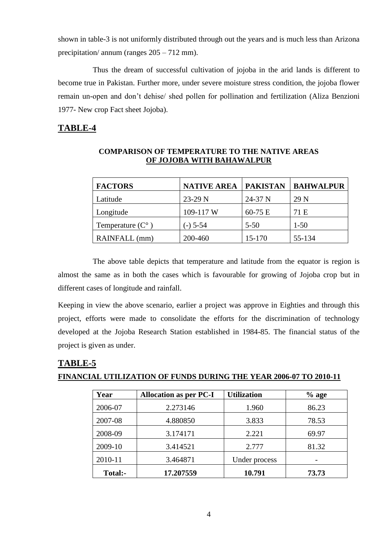shown in table-3 is not uniformly distributed through out the years and is much less than Arizona precipitation/ annum (ranges 205 – 712 mm).

Thus the dream of successful cultivation of jojoba in the arid lands is different to become true in Pakistan. Further more, under severe moisture stress condition, the jojoba flower remain un-open and don't dehise/ shed pollen for pollination and fertilization (Aliza Benzioni 1977- New crop Fact sheet Jojoba).

## **TABLE-4**

| <b>FACTORS</b>            | <b>NATIVE AREA</b> | <b>PAKISTAN</b> | <b>BAHWALPUR</b> |
|---------------------------|--------------------|-----------------|------------------|
| Latitude                  | $23-29$ N          | 24-37 N         | 29 N             |
| Longitude                 | 109-117 W          | $60-75 E$       | 71 E             |
| Temperature $(C^{\circ})$ | $(-)$ 5-54         | $5 - 50$        | $1 - 50$         |
| RAINFALL (mm)             | 200-460            | 15-170          | 55-134           |

## **COMPARISON OF TEMPERATURE TO THE NATIVE AREAS OF JOJOBA WITH BAHAWALPUR**

The above table depicts that temperature and latitude from the equator is region is almost the same as in both the cases which is favourable for growing of Jojoba crop but in different cases of longitude and rainfall.

Keeping in view the above scenario, earlier a project was approve in Eighties and through this project, efforts were made to consolidate the efforts for the discrimination of technology developed at the Jojoba Research Station established in 1984-85. The financial status of the project is given as under.

## **TABLE-5 FINANCIAL UTILIZATION OF FUNDS DURING THE YEAR 2006-07 TO 2010-11**

| Year    | <b>Allocation as per PC-I</b> | <b>Utilization</b> | $%$ age |
|---------|-------------------------------|--------------------|---------|
| 2006-07 | 2.273146                      | 1.960              | 86.23   |
| 2007-08 | 4.880850                      | 3.833              | 78.53   |
| 2008-09 | 3.174171                      | 2.221              | 69.97   |
| 2009-10 | 3.414521                      | 2.777              | 81.32   |
| 2010-11 | 3.464871                      | Under process      |         |
| Total:- | 17.207559                     | 10.791             | 73.73   |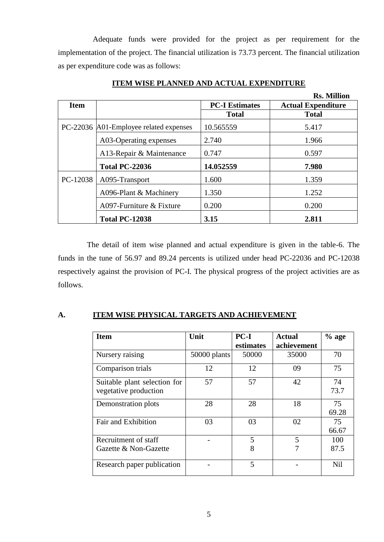Adequate funds were provided for the project as per requirement for the implementation of the project. The financial utilization is 73.73 percent. The financial utilization as per expenditure code was as follows:

|             |                                        |                       | <b>Rs. Million</b>        |
|-------------|----------------------------------------|-----------------------|---------------------------|
| <b>Item</b> |                                        | <b>PC-I Estimates</b> | <b>Actual Expenditure</b> |
|             |                                        | <b>Total</b>          | <b>Total</b>              |
|             | PC-22036 A01-Employee related expenses | 10.565559             | 5.417                     |
|             | A03-Operating expenses                 | 2.740                 | 1.966                     |
|             | A13-Repair & Maintenance               | 0.747                 | 0.597                     |
|             | <b>Total PC-22036</b>                  | 14.052559             | 7.980                     |
| PC-12038    | A095-Transport                         | 1.600                 | 1.359                     |
|             | A096-Plant & Machinery                 | 1.350                 | 1.252                     |
|             | A097-Furniture & Fixture               | 0.200                 | 0.200                     |
|             | <b>Total PC-12038</b>                  | 3.15                  | 2.811                     |

## **ITEM WISE PLANNED AND ACTUAL EXPENDITURE**

The detail of item wise planned and actual expenditure is given in the table-6. The funds in the tune of 56.97 and 89.24 percents is utilized under head PC-22036 and PC-12038 respectively against the provision of PC-I. The physical progress of the project activities are as follows.

## **A. ITEM WISE PHYSICAL TARGETS AND ACHIEVEMENT**

| <b>Item</b>                  | Unit           | $PC-I$    | <b>Actual</b> | $%$ age |
|------------------------------|----------------|-----------|---------------|---------|
|                              |                | estimates | achievement   |         |
| Nursery raising              | $50000$ plants | 50000     | 35000         | 70      |
| Comparison trials            | 12             | 12        | 09            | 75      |
| Suitable plant selection for | 57             | 57        | 42            | 74      |
| vegetative production        |                |           |               | 73.7    |
| Demonstration plots          | 28             | 28        | 18            | 75      |
|                              |                |           |               | 69.28   |
| Fair and Exhibition          | 03             | 03        | 02            | 75      |
|                              |                |           |               | 66.67   |
| Recruitment of staff         |                | 5         | 5             | 100     |
| Gazette & Non-Gazette        |                | 8         |               | 87.5    |
| Research paper publication   |                | 5         |               | Nil     |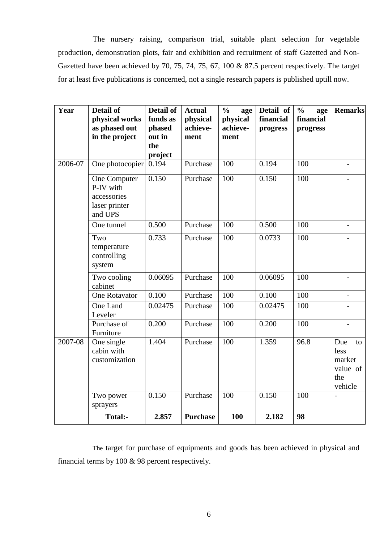The nursery raising, comparison trial, suitable plant selection for vegetable production, demonstration plots, fair and exhibition and recruitment of staff Gazetted and Non-Gazetted have been achieved by 70, 75, 74, 75, 67, 100 & 87.5 percent respectively. The target for at least five publications is concerned, not a single research papers is published uptill now.

| Year    | <b>Detail of</b><br>physical works<br>as phased out<br>in the project | <b>Detail of</b><br>funds as<br>phased<br>out in<br>the<br>project | <b>Actual</b><br>physical<br>achieve-<br>ment | $\frac{0}{0}$<br>age<br>physical<br>achieve-<br>ment | Detail of<br>financial<br>progress | $\frac{0}{0}$<br>age<br>financial<br>progress | <b>Remarks</b>                                            |
|---------|-----------------------------------------------------------------------|--------------------------------------------------------------------|-----------------------------------------------|------------------------------------------------------|------------------------------------|-----------------------------------------------|-----------------------------------------------------------|
| 2006-07 | One photocopier                                                       | 0.194                                                              | Purchase                                      | 100                                                  | 0.194                              | 100                                           |                                                           |
|         | One Computer<br>P-IV with<br>accessories<br>laser printer<br>and UPS  | 0.150                                                              | Purchase                                      | 100                                                  | 0.150                              | 100                                           | $\overline{\phantom{0}}$                                  |
|         | One tunnel                                                            | 0.500                                                              | Purchase                                      | 100                                                  | 0.500                              | 100                                           | $\overline{\phantom{0}}$                                  |
|         | Two<br>temperature<br>controlling<br>system                           | 0.733                                                              | Purchase                                      | 100                                                  | 0.0733                             | 100                                           |                                                           |
|         | Two cooling<br>cabinet                                                | 0.06095                                                            | Purchase                                      | 100                                                  | 0.06095                            | 100                                           | $\overline{\phantom{0}}$                                  |
|         | <b>One Rotavator</b>                                                  | 0.100                                                              | Purchase                                      | 100                                                  | 0.100                              | 100                                           |                                                           |
|         | One Land<br>Leveler                                                   | 0.02475                                                            | Purchase                                      | 100                                                  | 0.02475                            | 100                                           |                                                           |
|         | Purchase of<br>Furniture                                              | 0.200                                                              | Purchase                                      | 100                                                  | 0.200                              | 100                                           |                                                           |
| 2007-08 | One single<br>cabin with<br>customization                             | 1.404                                                              | Purchase                                      | 100                                                  | 1.359                              | 96.8                                          | Due<br>to<br>less<br>market<br>value of<br>the<br>vehicle |
|         | Two power<br>sprayers                                                 | 0.150                                                              | Purchase                                      | 100                                                  | 0.150                              | 100                                           |                                                           |
|         | <b>Total:-</b>                                                        | 2.857                                                              | <b>Purchase</b>                               | 100                                                  | 2.182                              | 98                                            |                                                           |

The target for purchase of equipments and goods has been achieved in physical and financial terms by 100 & 98 percent respectively.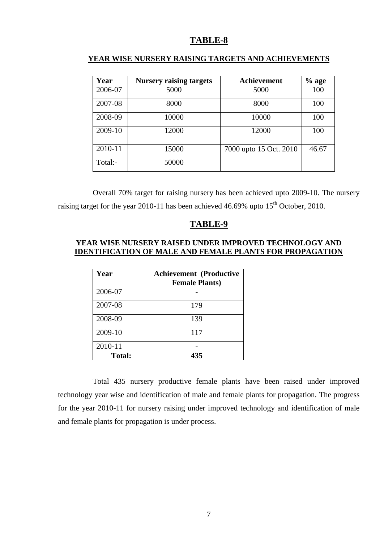| Year    | <b>Nursery raising targets</b> | Achievement            | $%$ age |
|---------|--------------------------------|------------------------|---------|
| 2006-07 | 5000                           | 5000                   | 100     |
| 2007-08 | 8000                           | 8000                   | 100     |
| 2008-09 | 10000                          | 10000                  | 100     |
| 2009-10 | 12000                          | 12000                  | 100     |
| 2010-11 | 15000                          | 7000 upto 15 Oct. 2010 | 46.67   |
| Total:- | 50000                          |                        |         |

#### **YEAR WISE NURSERY RAISING TARGETS AND ACHIEVEMENTS**

Overall 70% target for raising nursery has been achieved upto 2009-10. The nursery raising target for the year 2010-11 has been achieved 46.69% upto 15<sup>th</sup> October, 2010.

#### **TABLE-9**

#### **YEAR WISE NURSERY RAISED UNDER IMPROVED TECHNOLOGY AND IDENTIFICATION OF MALE AND FEMALE PLANTS FOR PROPAGATION**

| Year          | <b>Achievement (Productive</b><br><b>Female Plants)</b> |
|---------------|---------------------------------------------------------|
| 2006-07       |                                                         |
| 2007-08       | 179                                                     |
| 2008-09       | 139                                                     |
| 2009-10       | 117                                                     |
| 2010-11       |                                                         |
| <b>Total:</b> | 435                                                     |

Total 435 nursery productive female plants have been raised under improved technology year wise and identification of male and female plants for propagation. The progress for the year 2010-11 for nursery raising under improved technology and identification of male and female plants for propagation is under process.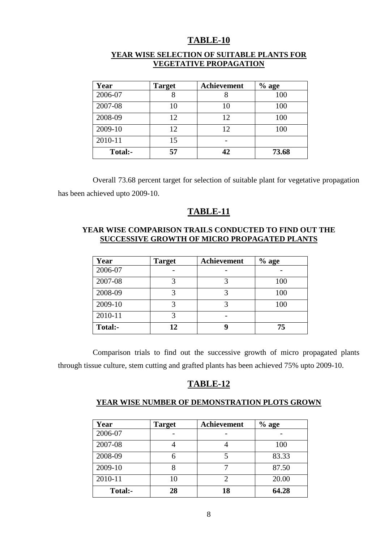| Year    | <b>Target</b> | <b>Achievement</b> | $%$ age |
|---------|---------------|--------------------|---------|
| 2006-07 |               |                    | 100     |
| 2007-08 | 10            | 10                 | 100     |
| 2008-09 | 12            | 12                 | 100     |
| 2009-10 | 12            | 12                 | 100     |
| 2010-11 | 15            |                    |         |
| Total:- | 57            | 42                 | 73.68   |

#### **YEAR WISE SELECTION OF SUITABLE PLANTS FOR VEGETATIVE PROPAGATION**

Overall 73.68 percent target for selection of suitable plant for vegetative propagation has been achieved upto 2009-10.

## **TABLE-11**

## **YEAR WISE COMPARISON TRAILS CONDUCTED TO FIND OUT THE SUCCESSIVE GROWTH OF MICRO PROPAGATED PLANTS**

| Year    | <b>Target</b> | <b>Achievement</b> | $%$ age |
|---------|---------------|--------------------|---------|
| 2006-07 |               |                    |         |
| 2007-08 |               |                    | 100     |
| 2008-09 |               |                    | 100     |
| 2009-10 |               |                    | 100     |
| 2010-11 | 3             |                    |         |
| Total:- | 12            |                    | 75      |

Comparison trials to find out the successive growth of micro propagated plants through tissue culture, stem cutting and grafted plants has been achieved 75% upto 2009-10.

## **TABLE-12**

#### **YEAR WISE NUMBER OF DEMONSTRATION PLOTS GROWN**

| Year    | <b>Target</b> | <b>Achievement</b> | $%$ age |
|---------|---------------|--------------------|---------|
| 2006-07 |               |                    |         |
| 2007-08 |               |                    | 100     |
| 2008-09 |               |                    | 83.33   |
| 2009-10 |               |                    | 87.50   |
| 2010-11 | 10            |                    | 20.00   |
| Total:- | 28            | 18                 | 64.28   |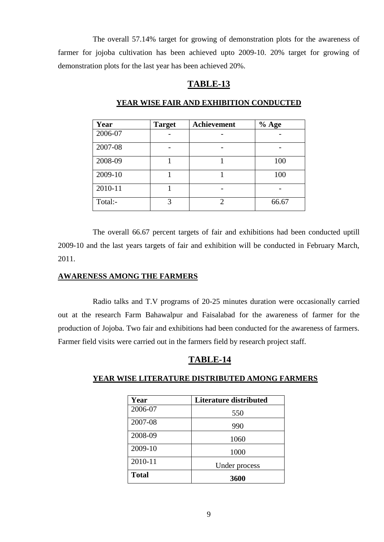The overall 57.14% target for growing of demonstration plots for the awareness of farmer for jojoba cultivation has been achieved upto 2009-10. 20% target for growing of demonstration plots for the last year has been achieved 20%.

## **TABLE-13**

| Year    | <b>Target</b> | Achievement | $%$ Age |
|---------|---------------|-------------|---------|
| 2006-07 |               |             |         |
| 2007-08 |               |             |         |
| 2008-09 |               |             | 100     |
| 2009-10 |               |             | 100     |
| 2010-11 |               |             |         |
| Total:- | 3             | 2           | 66.67   |

#### **YEAR WISE FAIR AND EXHIBITION CONDUCTED**

The overall 66.67 percent targets of fair and exhibitions had been conducted uptill 2009-10 and the last years targets of fair and exhibition will be conducted in February March, 2011.

## **AWARENESS AMONG THE FARMERS**

Radio talks and T.V programs of 20-25 minutes duration were occasionally carried out at the research Farm Bahawalpur and Faisalabad for the awareness of farmer for the production of Jojoba. Two fair and exhibitions had been conducted for the awareness of farmers. Farmer field visits were carried out in the farmers field by research project staff.

## **TABLE-14**

## **YEAR WISE LITERATURE DISTRIBUTED AMONG FARMERS**

| Year         | <b>Literature distributed</b> |
|--------------|-------------------------------|
| 2006-07      | 550                           |
| 2007-08      | 990                           |
| 2008-09      | 1060                          |
| 2009-10      | 1000                          |
| 2010-11      | Under process                 |
| <b>Total</b> | 3600                          |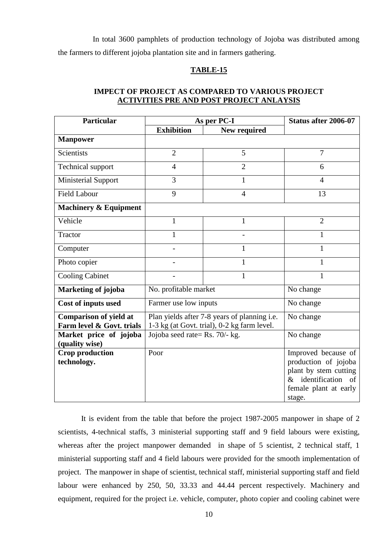In total 3600 pamphlets of production technology of Jojoba was distributed among the farmers to different jojoba plantation site and in farmers gathering.

#### **TABLE-15**

#### **IMPECT OF PROJECT AS COMPARED TO VARIOUS PROJECT ACTIVITIES PRE AND POST PROJECT ANLAYSIS**

| <b>Particular</b>                        | As per PC-I                        |                                              | Status after 2006-07   |  |
|------------------------------------------|------------------------------------|----------------------------------------------|------------------------|--|
|                                          | <b>Exhibition</b>                  | New required                                 |                        |  |
| <b>Manpower</b>                          |                                    |                                              |                        |  |
| <b>Scientists</b>                        | $\overline{2}$                     | 5                                            | 7                      |  |
| <b>Technical support</b>                 | $\overline{4}$                     | $\overline{2}$                               | 6                      |  |
| <b>Ministerial Support</b>               | 3                                  | $\mathbf{1}$                                 | 4                      |  |
| <b>Field Labour</b>                      | 9                                  | $\overline{4}$                               | 13                     |  |
| <b>Machinery &amp; Equipment</b>         |                                    |                                              |                        |  |
| Vehicle                                  | $\mathbf{1}$                       | $\mathbf{1}$                                 | $\overline{2}$         |  |
| Tractor                                  | 1                                  |                                              | 1                      |  |
| Computer                                 |                                    | $\mathbf{1}$                                 | $\mathbf{1}$           |  |
| Photo copier                             |                                    | $\mathbf{1}$                                 | $\mathbf{1}$           |  |
| <b>Cooling Cabinet</b>                   |                                    | $\mathbf{1}$                                 | 1                      |  |
| Marketing of jojoba                      | No. profitable market              | No change                                    |                        |  |
| <b>Cost of inputs used</b>               | Farmer use low inputs<br>No change |                                              |                        |  |
| <b>Comparison of yield at</b>            |                                    | Plan yields after 7-8 years of planning i.e. | No change              |  |
| Farm level & Govt. trials                |                                    | 1-3 kg (at Govt. trial), 0-2 kg farm level.  |                        |  |
| Market price of jojoba<br>(quality wise) | Jojoba seed rate= Rs. 70/- kg.     |                                              | No change              |  |
| <b>Crop production</b>                   | Poor                               |                                              | Improved because of    |  |
| technology.                              |                                    |                                              | production of jojoba   |  |
|                                          |                                    |                                              | plant by stem cutting  |  |
|                                          |                                    |                                              | & identification<br>of |  |
|                                          |                                    |                                              | female plant at early  |  |
|                                          |                                    |                                              | stage.                 |  |

It is evident from the table that before the project 1987-2005 manpower in shape of 2 scientists, 4-technical staffs, 3 ministerial supporting staff and 9 field labours were existing, whereas after the project manpower demanded in shape of 5 scientist, 2 technical staff, 1 ministerial supporting staff and 4 field labours were provided for the smooth implementation of project. The manpower in shape of scientist, technical staff, ministerial supporting staff and field labour were enhanced by 250, 50, 33.33 and 44.44 percent respectively. Machinery and equipment, required for the project i.e. vehicle, computer, photo copier and cooling cabinet were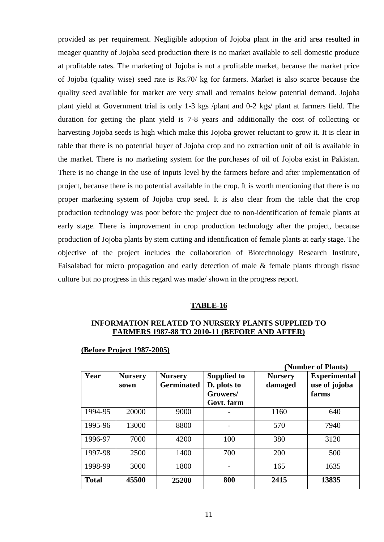provided as per requirement. Negligible adoption of Jojoba plant in the arid area resulted in meager quantity of Jojoba seed production there is no market available to sell domestic produce at profitable rates. The marketing of Jojoba is not a profitable market, because the market price of Jojoba (quality wise) seed rate is Rs.70/ kg for farmers. Market is also scarce because the quality seed available for market are very small and remains below potential demand. Jojoba plant yield at Government trial is only 1-3 kgs /plant and 0-2 kgs/ plant at farmers field. The duration for getting the plant yield is 7-8 years and additionally the cost of collecting or harvesting Jojoba seeds is high which make this Jojoba grower reluctant to grow it. It is clear in table that there is no potential buyer of Jojoba crop and no extraction unit of oil is available in the market. There is no marketing system for the purchases of oil of Jojoba exist in Pakistan. There is no change in the use of inputs level by the farmers before and after implementation of project, because there is no potential available in the crop. It is worth mentioning that there is no proper marketing system of Jojoba crop seed. It is also clear from the table that the crop production technology was poor before the project due to non-identification of female plants at early stage. There is improvement in crop production technology after the project, because production of Jojoba plants by stem cutting and identification of female plants at early stage. The objective of the project includes the collaboration of Biotechnology Research Institute, Faisalabad for micro propagation and early detection of male & female plants through tissue culture but no progress in this regard was made/ shown in the progress report.

#### **TABLE-16**

#### **INFORMATION RELATED TO NURSERY PLANTS SUPPLIED TO FARMERS 1987-88 TO 2010-11 (BEFORE AND AFTER)**

#### **(Before Project 1987-2005)**

|              |                        |                                     |                                                             |                           | (Number of Plants)                            |
|--------------|------------------------|-------------------------------------|-------------------------------------------------------------|---------------------------|-----------------------------------------------|
| Year         | <b>Nursery</b><br>sown | <b>Nursery</b><br><b>Germinated</b> | <b>Supplied to</b><br>D. plots to<br>Growers/<br>Govt. farm | <b>Nursery</b><br>damaged | <b>Experimental</b><br>use of jojoba<br>farms |
| 1994-95      | 20000                  | 9000                                |                                                             | 1160                      | 640                                           |
| 1995-96      | 13000                  | 8800                                |                                                             | 570                       | 7940                                          |
| 1996-97      | 7000                   | 4200                                | 100                                                         | 380                       | 3120                                          |
| 1997-98      | 2500                   | 1400                                | 700                                                         | 200                       |                                               |
| 1998-99      | 3000                   | 1800                                |                                                             | 165                       | 1635                                          |
| <b>Total</b> | 45500                  | 25200                               | 800                                                         | 2415                      | 13835                                         |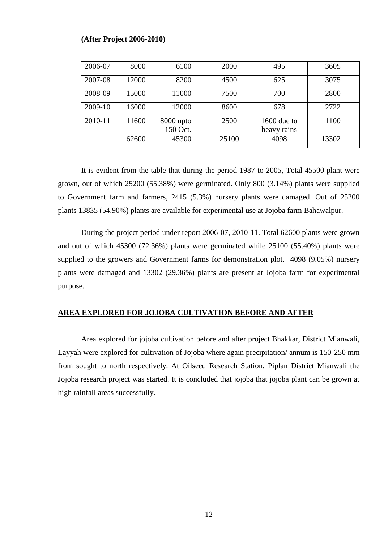#### **(After Project 2006-2010)**

| 2006-07 | 8000  | 6100                  | 2000  | 495                          | 3605  |
|---------|-------|-----------------------|-------|------------------------------|-------|
| 2007-08 | 12000 | 8200                  | 4500  | 625                          | 3075  |
| 2008-09 | 15000 | 11000                 | 7500  | 700                          | 2800  |
| 2009-10 | 16000 | 12000                 | 8600  | 678                          | 2722  |
| 2010-11 | 11600 | 8000 upto<br>150 Oct. | 2500  | $1600$ due to<br>heavy rains | 1100  |
|         | 62600 | 45300                 | 25100 | 4098                         | 13302 |

It is evident from the table that during the period 1987 to 2005, Total 45500 plant were grown, out of which 25200 (55.38%) were germinated. Only 800 (3.14%) plants were supplied to Government farm and farmers, 2415 (5.3%) nursery plants were damaged. Out of 25200 plants 13835 (54.90%) plants are available for experimental use at Jojoba farm Bahawalpur.

During the project period under report 2006-07, 2010-11. Total 62600 plants were grown and out of which 45300 (72.36%) plants were germinated while 25100 (55.40%) plants were supplied to the growers and Government farms for demonstration plot. 4098 (9.05%) nursery plants were damaged and 13302 (29.36%) plants are present at Jojoba farm for experimental purpose.

#### **AREA EXPLORED FOR JOJOBA CULTIVATION BEFORE AND AFTER**

Area explored for jojoba cultivation before and after project Bhakkar, District Mianwali, Layyah were explored for cultivation of Jojoba where again precipitation/ annum is 150-250 mm from sought to north respectively. At Oilseed Research Station, Piplan District Mianwali the Jojoba research project was started. It is concluded that jojoba that jojoba plant can be grown at high rainfall areas successfully.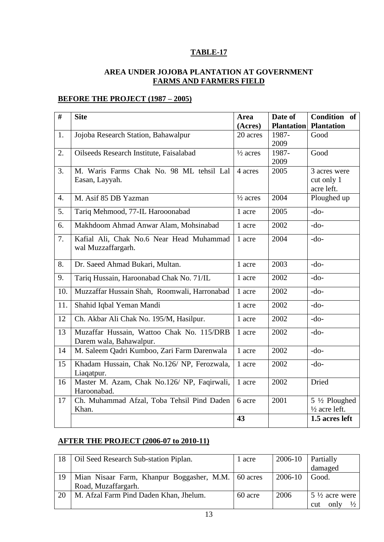## **AREA UNDER JOJOBA PLANTATION AT GOVERNMENT FARMS AND FARMERS FIELD**

## **BEFORE THE PROJECT (1987 – 2005)**

| #                | <b>Site</b>                                  | Area                | Date of           | Condition of             |
|------------------|----------------------------------------------|---------------------|-------------------|--------------------------|
|                  |                                              | (Acres)             | <b>Plantation</b> | <b>Plantation</b>        |
| 1.               | Jojoba Research Station, Bahawalpur          | 20 acres            | 1987-             | Good                     |
|                  |                                              |                     | 2009              |                          |
| 2.               | Oilseeds Research Institute, Faisalabad      | $\frac{1}{2}$ acres | 1987-             | Good                     |
|                  |                                              |                     | 2009              |                          |
| 3.               | M. Waris Farms Chak No. 98 ML tehsil Lal     | 4 acres             | 2005              | 3 acres were             |
|                  | Easan, Layyah.                               |                     |                   | cut only 1               |
|                  |                                              |                     |                   | acre left.               |
| $\overline{4}$ . | M. Asif 85 DB Yazman                         | $\frac{1}{2}$ acres | 2004              | Ploughed up              |
| 5.               | Tariq Mehmood, 77-IL Harooonabad             | 1 acre              | 2005              | $-do-$                   |
| 6.               | Makhdoom Ahmad Anwar Alam, Mohsinabad        | 1 acre              | 2002              | $-do-$                   |
| 7.               | Kafial Ali, Chak No.6 Near Head Muhammad     | 1 acre              | 2004              | $-do-$                   |
|                  | wal Muzzaffargarh.                           |                     |                   |                          |
| 8.               | Dr. Saeed Ahmad Bukari, Multan.              | 1 acre              | 2003              | $-do-$                   |
| 9.               | Tariq Hussain, Haroonabad Chak No. 71/IL     | 1 acre              | 2002              | $-do-$                   |
|                  |                                              |                     |                   |                          |
| 10.              | Muzzaffar Hussain Shah, Roomwali, Harronabad | 1 acre              | 2002              | $-do-$                   |
| 11.              | Shahid Iqbal Yeman Mandi                     | 1 acre              | 2002              | $-do-$                   |
| 12               | Ch. Akbar Ali Chak No. 195/M, Hasilpur.      | 1 acre              | 2002              | $-do-$                   |
| 13               | Muzaffar Hussain, Wattoo Chak No. 115/DRB    | 1 acre              | 2002              | $-do-$                   |
|                  | Darem wala, Bahawalpur.                      |                     |                   |                          |
| 14               | M. Saleem Qadri Kumboo, Zari Farm Darenwala  | 1 acre              | 2002              | $-do-$                   |
| 15               | Khadam Hussain, Chak No.126/ NP, Ferozwala,  | 1 acre              | 2002              | $-do-$                   |
|                  | Liaqatpur.                                   |                     |                   |                          |
| 16               | Master M. Azam, Chak No.126/ NP, Faqirwali,  | 1 acre              | 2002              | <b>Dried</b>             |
|                  | Haroonabad.                                  |                     |                   |                          |
| 17               | Ch. Muhammad Afzal, Toba Tehsil Pind Daden   | 6 acre              | 2001              | 5 1/2 Ploughed           |
|                  | Khan.                                        |                     |                   | $\frac{1}{2}$ acre left. |
|                  |                                              | 43                  |                   | 1.5 acres left           |
|                  |                                              |                     |                   |                          |

## **AFTER THE PROJECT (2006-07 to 2010-11)**

| 18 | Oil Seed Research Sub-station Piplan.              | 1 acre  | 2006-10 | Partially                    |
|----|----------------------------------------------------|---------|---------|------------------------------|
|    |                                                    |         |         | damaged                      |
| 19 | Mian Nisaar Farm, Khanpur Boggasher, M.M. 60 acres |         | 2006-10 | Good.                        |
|    | Road, Muzaffargarh.                                |         |         |                              |
| 20 | M. Afzal Farm Pind Daden Khan, Jhelum.             | 60 acre | 2006    | $5\frac{1}{2}$ acre were     |
|    |                                                    |         |         | $\frac{1}{2}$<br>only<br>cut |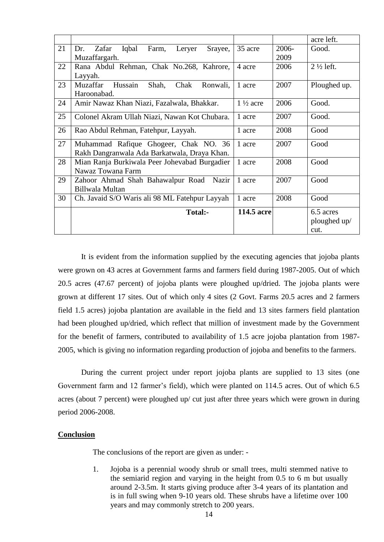|    |                                                     |                     |       | acre left.           |
|----|-----------------------------------------------------|---------------------|-------|----------------------|
| 21 | Iqbal<br>Zafar<br>Farm,<br>Dr.<br>Leryer<br>Srayee, | 35 acre             | 2006- | Good.                |
|    | Muzaffargarh.                                       |                     | 2009  |                      |
| 22 | Rana Abdul Rehman, Chak No.268, Kahrore,            | 4 acre              | 2006  | $2\frac{1}{2}$ left. |
|    | Layyah.                                             |                     |       |                      |
| 23 | Hussain<br>Shah,<br>Muzaffar<br>Chak<br>Ronwali,    | 1 acre              | 2007  | Ploughed up.         |
|    | Haroonabad.                                         |                     |       |                      |
| 24 | Amir Nawaz Khan Niazi, Fazalwala, Bhakkar.          | $1\frac{1}{2}$ acre | 2006  | Good.                |
| 25 | Colonel Akram Ullah Niazi, Nawan Kot Chubara.       | 1 acre              | 2007  | Good.                |
|    |                                                     |                     |       |                      |
| 26 | Rao Abdul Rehman, Fatehpur, Layyah.                 | 1 acre              | 2008  | Good                 |
| 27 | Muhammad Rafique Ghogeer, Chak NO. 36               | 1 acre              | 2007  | Good                 |
|    | Rakh Dangranwala Ada Barkatwala, Draya Khan.        |                     |       |                      |
| 28 | Mian Ranja Burkiwala Peer Johevabad Burgadier       | 1 acre              | 2008  | Good                 |
|    | Nawaz Towana Farm                                   |                     |       |                      |
| 29 | Zahoor Ahmad Shah Bahawalpur Road<br>Nazir          | 1 acre              | 2007  | Good                 |
|    | Billwala Multan                                     |                     |       |                      |
| 30 | Ch. Javaid S/O Waris ali 98 ML Fatehpur Layyah      | 1 acre              | 2008  | Good                 |
|    | Total:-                                             | 114.5 acre          |       | 6.5 acres            |
|    |                                                     |                     |       | ploughed up/         |
|    |                                                     |                     |       | cut.                 |

It is evident from the information supplied by the executing agencies that jojoba plants were grown on 43 acres at Government farms and farmers field during 1987-2005. Out of which 20.5 acres (47.67 percent) of jojoba plants were ploughed up/dried. The jojoba plants were grown at different 17 sites. Out of which only 4 sites (2 Govt. Farms 20.5 acres and 2 farmers field 1.5 acres) jojoba plantation are available in the field and 13 sites farmers field plantation had been ploughed up/dried, which reflect that million of investment made by the Government for the benefit of farmers, contributed to availability of 1.5 acre jojoba plantation from 1987- 2005, which is giving no information regarding production of jojoba and benefits to the farmers.

During the current project under report jojoba plants are supplied to 13 sites (one Government farm and 12 farmer's field), which were planted on 114.5 acres. Out of which 6.5 acres (about 7 percent) were ploughed up/ cut just after three years which were grown in during period 2006-2008.

#### **Conclusion**

The conclusions of the report are given as under: -

1. Jojoba is a perennial woody shrub or small trees, multi stemmed native to the semiarid region and varying in the height from 0.5 to 6 m but usually around 2-3.5m. It starts giving produce after 3-4 years of its plantation and is in full swing when 9-10 years old. These shrubs have a lifetime over 100 years and may commonly stretch to 200 years.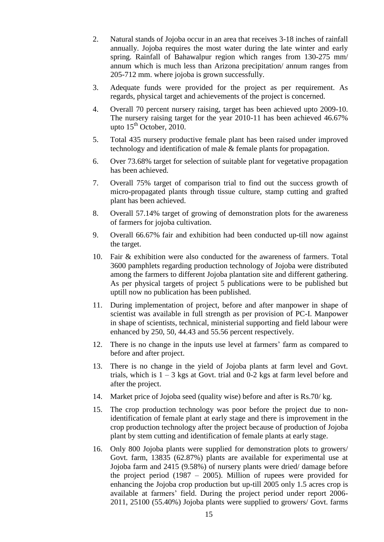- 2. Natural stands of Jojoba occur in an area that receives 3-18 inches of rainfall annually. Jojoba requires the most water during the late winter and early spring. Rainfall of Bahawalpur region which ranges from 130-275 mm/ annum which is much less than Arizona precipitation/ annum ranges from 205-712 mm. where jojoba is grown successfully.
- 3. Adequate funds were provided for the project as per requirement. As regards, physical target and achievements of the project is concerned.
- 4. Overall 70 percent nursery raising, target has been achieved upto 2009-10. The nursery raising target for the year 2010-11 has been achieved 46.67% upto  $15<sup>th</sup>$  October, 2010.
- 5. Total 435 nursery productive female plant has been raised under improved technology and identification of male & female plants for propagation.
- 6. Over 73.68% target for selection of suitable plant for vegetative propagation has been achieved.
- 7. Overall 75% target of comparison trial to find out the success growth of micro-propagated plants through tissue culture, stamp cutting and grafted plant has been achieved.
- 8. Overall 57.14% target of growing of demonstration plots for the awareness of farmers for jojoba cultivation.
- 9. Overall 66.67% fair and exhibition had been conducted up-till now against the target.
- 10. Fair & exhibition were also conducted for the awareness of farmers. Total 3600 pamphlets regarding production technology of Jojoba were distributed among the farmers to different Jojoba plantation site and different gathering. As per physical targets of project 5 publications were to be published but uptill now no publication has been published.
- 11. During implementation of project, before and after manpower in shape of scientist was available in full strength as per provision of PC-I. Manpower in shape of scientists, technical, ministerial supporting and field labour were enhanced by 250, 50, 44.43 and 55.56 percent respectively.
- 12. There is no change in the inputs use level at farmers' farm as compared to before and after project.
- 13. There is no change in the yield of Jojoba plants at farm level and Govt. trials, which is  $1 - 3$  kgs at Govt. trial and 0-2 kgs at farm level before and after the project.
- 14. Market price of Jojoba seed (quality wise) before and after is Rs.70/ kg.
- 15. The crop production technology was poor before the project due to nonidentification of female plant at early stage and there is improvement in the crop production technology after the project because of production of Jojoba plant by stem cutting and identification of female plants at early stage.
- 16. Only 800 Jojoba plants were supplied for demonstration plots to growers/ Govt. farm, 13835 (62.87%) plants are available for experimental use at Jojoba farm and 2415 (9.58%) of nursery plants were dried/ damage before the project period (1987 – 2005). Million of rupees were provided for enhancing the Jojoba crop production but up-till 2005 only 1.5 acres crop is available at farmers' field. During the project period under report 2006- 2011, 25100 (55.40%) Jojoba plants were supplied to growers/ Govt. farms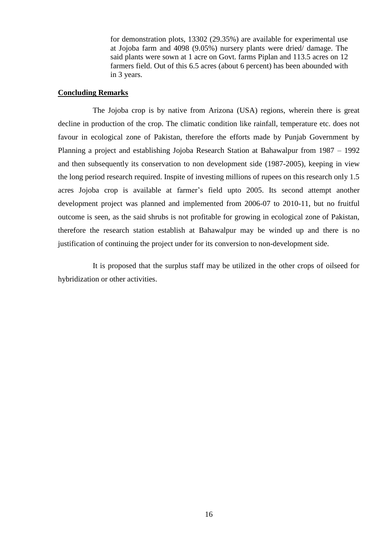for demonstration plots, 13302 (29.35%) are available for experimental use at Jojoba farm and 4098 (9.05%) nursery plants were dried/ damage. The said plants were sown at 1 acre on Govt. farms Piplan and 113.5 acres on 12 farmers field. Out of this 6.5 acres (about 6 percent) has been abounded with in 3 years.

#### **Concluding Remarks**

The Jojoba crop is by native from Arizona (USA) regions, wherein there is great decline in production of the crop. The climatic condition like rainfall, temperature etc. does not favour in ecological zone of Pakistan, therefore the efforts made by Punjab Government by Planning a project and establishing Jojoba Research Station at Bahawalpur from 1987 – 1992 and then subsequently its conservation to non development side (1987-2005), keeping in view the long period research required. Inspite of investing millions of rupees on this research only 1.5 acres Jojoba crop is available at farmer's field upto 2005. Its second attempt another development project was planned and implemented from 2006-07 to 2010-11, but no fruitful outcome is seen, as the said shrubs is not profitable for growing in ecological zone of Pakistan, therefore the research station establish at Bahawalpur may be winded up and there is no justification of continuing the project under for its conversion to non-development side.

It is proposed that the surplus staff may be utilized in the other crops of oilseed for hybridization or other activities.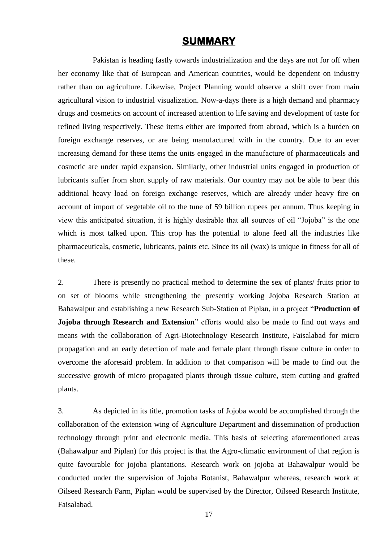## **SUMMARY**

Pakistan is heading fastly towards industrialization and the days are not for off when her economy like that of European and American countries, would be dependent on industry rather than on agriculture. Likewise, Project Planning would observe a shift over from main agricultural vision to industrial visualization. Now-a-days there is a high demand and pharmacy drugs and cosmetics on account of increased attention to life saving and development of taste for refined living respectively. These items either are imported from abroad, which is a burden on foreign exchange reserves, or are being manufactured with in the country. Due to an ever increasing demand for these items the units engaged in the manufacture of pharmaceuticals and cosmetic are under rapid expansion. Similarly, other industrial units engaged in production of lubricants suffer from short supply of raw materials. Our country may not be able to bear this additional heavy load on foreign exchange reserves, which are already under heavy fire on account of import of vegetable oil to the tune of 59 billion rupees per annum. Thus keeping in view this anticipated situation, it is highly desirable that all sources of oil "Jojoba" is the one which is most talked upon. This crop has the potential to alone feed all the industries like pharmaceuticals, cosmetic, lubricants, paints etc. Since its oil (wax) is unique in fitness for all of these.

2. There is presently no practical method to determine the sex of plants/ fruits prior to on set of blooms while strengthening the presently working Jojoba Research Station at Bahawalpur and establishing a new Research Sub-Station at Piplan, in a project "**Production of Jojoba through Research and Extension**" efforts would also be made to find out ways and means with the collaboration of Agri-Biotechnology Research Institute, Faisalabad for micro propagation and an early detection of male and female plant through tissue culture in order to overcome the aforesaid problem. In addition to that comparison will be made to find out the successive growth of micro propagated plants through tissue culture, stem cutting and grafted plants.

3. As depicted in its title, promotion tasks of Jojoba would be accomplished through the collaboration of the extension wing of Agriculture Department and dissemination of production technology through print and electronic media. This basis of selecting aforementioned areas (Bahawalpur and Piplan) for this project is that the Agro-climatic environment of that region is quite favourable for jojoba plantations. Research work on jojoba at Bahawalpur would be conducted under the supervision of Jojoba Botanist, Bahawalpur whereas, research work at Oilseed Research Farm, Piplan would be supervised by the Director, Oilseed Research Institute, Faisalabad.